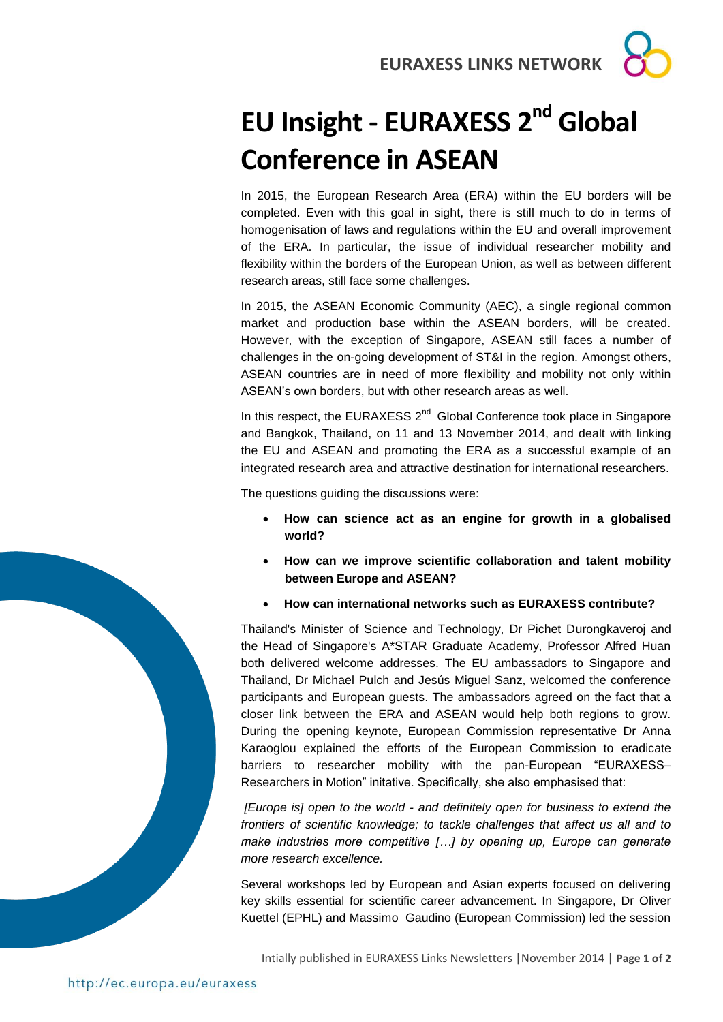**EURAXESS LINKS NETWORK**

## **EU Insight - EURAXESS 2nd Global Conference in ASEAN**

In 2015, the European Research Area (ERA) within the EU borders will be completed. Even with this goal in sight, there is still much to do in terms of homogenisation of laws and regulations within the EU and overall improvement of the ERA. In particular, the issue of individual researcher mobility and flexibility within the borders of the European Union, as well as between different research areas, still face some challenges.

In 2015, the ASEAN Economic Community (AEC), a single regional common market and production base within the ASEAN borders, will be created. However, with the exception of Singapore, ASEAN still faces a number of challenges in the on-going development of ST&I in the region. Amongst others, ASEAN countries are in need of more flexibility and mobility not only within ASEAN's own borders, but with other research areas as well.

In this respect, the EURAXESS  $2^{nd}$  Global Conference took place in Singapore and Bangkok, Thailand, on 11 and 13 November 2014, and dealt with linking the EU and ASEAN and promoting the ERA as a successful example of an integrated research area and attractive destination for international researchers.

The questions guiding the discussions were:

- **How can science act as an engine for growth in a globalised world?**
- **How can we improve scientific collaboration and talent mobility between Europe and ASEAN?**
- **How can international networks such as EURAXESS contribute?**

Thailand's Minister of Science and Technology, Dr Pichet Durongkaveroj and the Head of Singapore's A\*STAR Graduate Academy, Professor Alfred Huan both delivered welcome addresses. The EU ambassadors to Singapore and Thailand, Dr Michael Pulch and Jesús Miguel Sanz, welcomed the conference participants and European guests. The ambassadors agreed on the fact that a closer link between the ERA and ASEAN would help both regions to grow. During the opening keynote, European Commission representative Dr Anna Karaoglou explained the efforts of the European Commission to eradicate barriers to researcher mobility with the pan-European "EURAXESS– Researchers in Motion" initative. Specifically, she also emphasised that:

*[Europe is] open to the world - and definitely open for business to extend the frontiers of scientific knowledge; to tackle challenges that affect us all and to make industries more competitive […] by opening up, Europe can generate more research excellence.*

Several workshops led by European and Asian experts focused on delivering key skills essential for scientific career advancement. In Singapore, Dr Oliver Kuettel (EPHL) and Massimo Gaudino (European Commission) led the session